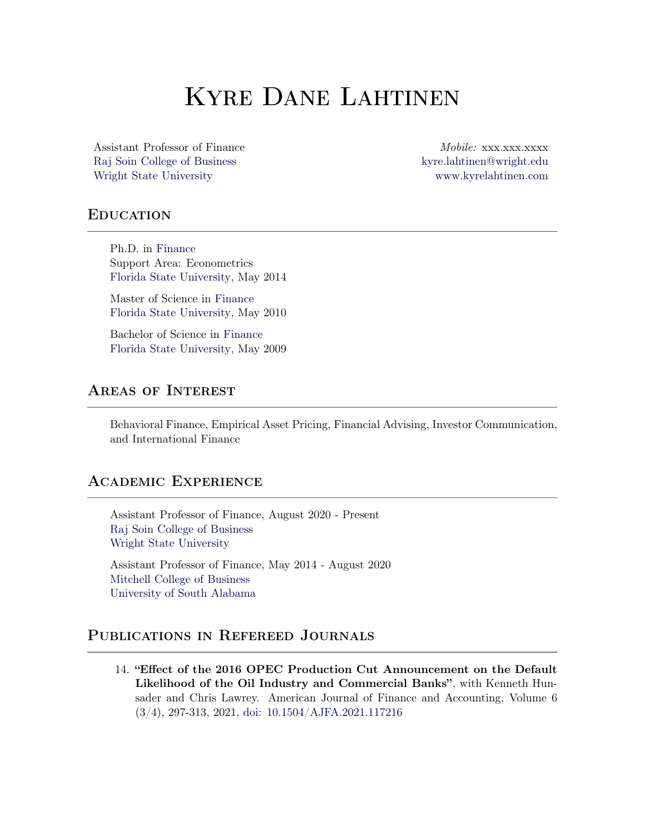# Kyre Dane Lahtinen

Raj Soin College of [Business](https://business.wright.edu) [kyre.lahtinen@wright.edu](mailto:kyre.lahtinen@wright.edu) Wright State [University](https://www.wright.edu) [www.kyrelahtinen.com](http://www.kyrelahtinen.com/)

Assistant Professor of Finance *Mobile:* xxx.xxx.xxxx

### **EDUCATION**

Ph.D. in [Finance](http://www.cob.fsu.edu/) Support Area: Econometrics Florida State [University](http://www.fsu.edu/), May 2014

Master of Science in [Finance](http://www.cob.fsu.edu/) Florida State [University](http://www.fsu.edu/), May 2010

Bachelor of Science in [Finance](http://www.cob.fsu.edu/) Florida State [University](http://www.fsu.edu/), May 2009

## Areas of Interest

Behavioral Finance, Empirical Asset Pricing, Financial Advising, Investor Communication, and International Finance

### Academic Experience

Assistant Professor of Finance, August 2020 - Present Raj Soin College of [Business](https://business.wright.edu) Wright State [University](https://www.wright.edu)

Assistant Professor of Finance, May 2014 - August 2020 Mitchell College of [Business](http://www.southalabama.edu/colleges/mcob/) [University](http://www.southalabama.edu) of South Alabama

### Publications in Refereed Journals

14. "Effect of the 2016 OPEC Production Cut Announcement on the Default Likelihood of the Oil Industry and Commercial Banks", with Kenneth Hunsader and Chris Lawrey. American Journal of Finance and Accounting, Volume 6 (3/4), 297-313, 2021, doi: <10.1504/AJFA.2021.117216>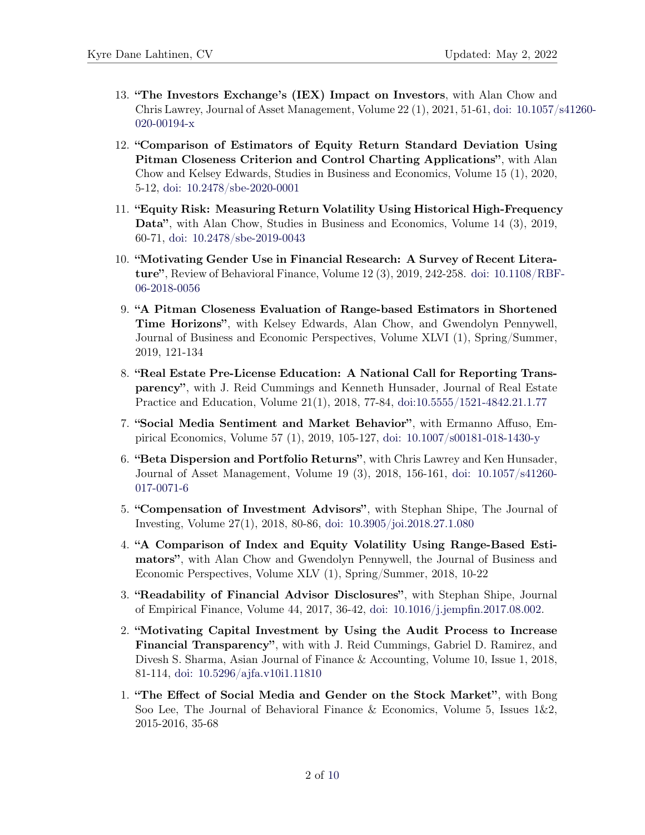- 13. "The Investors Exchange's (IEX) Impact on Investors, with Alan Chow and Chris Lawrey, Journal of Asset [Management,](https://doi.org/10.1057/s41260-020-00194-x) Volume 22 (1), 2021, 51-61, doi: 10.1057/s41260- 020-00194-x
- 12. "Comparison of Estimators of Equity Return Standard Deviation Using Pitman Closeness Criterion and Control Charting Applications", with Alan Chow and Kelsey Edwards, Studies in Business and Economics, Volume 15 (1), 2020, 5-12, doi: [10.2478/sbe-2020-0001](https://doi.org/10.2478/sbe-2020-0001)
- 11. "Equity Risk: Measuring Return Volatility Using Historical High-Frequency Data", with Alan Chow, Studies in Business and Economics, Volume 14 (3), 2019, 60-71, doi: [10.2478/sbe-2019-0043](https://doi.org/10.2478/sbe-2019-0043)
- 10. "Motivating Gender Use in Financial Research: A Survey of Recent Literature", Review of [Behavioral](https://doi.org/10.1108/RBF-06-2018-0056) Finance, Volume 12 (3), 2019, 242-258. doi: 10.1108/RBF-06-2018-0056
- 9. "A Pitman Closeness Evaluation of Range-based Estimators in Shortened Time Horizons", with Kelsey Edwards, Alan Chow, and Gwendolyn Pennywell, Journal of Business and Economic Perspectives, Volume XLVI (1), Spring/Summer, 2019, 121-134
- 8. "Real Estate Pre-License Education: A National Call for Reporting Transparency", with J. Reid Cummings and Kenneth Hunsader, Journal of Real Estate Practice and Education, Volume 21(1), 2018, 77-84, [doi:10.5555/1521-4842.21.1.77](http://www.aresjournals.org/doi/abs/10.5555/1521-4842.21.1.77)
- 7. "Social Media Sentiment and Market Behavior", with Ermanno Affuso, Empirical Economics, Volume 57 (1), 2019, 105-127, doi: [10.1007/s00181-018-1430-y](https://doi.org/10.1007/s00181-018-1430-y)
- 6. "Beta Dispersion and Portfolio Returns", with Chris Lawrey and Ken Hunsader, Journal of Asset [Management,](https://doi.org/10.1057/s41260-017-0071-6) Volume 19 (3), 2018, 156-161, doi: 10.1057/s41260- 017-0071-6
- 5. "Compensation of Investment Advisors", with Stephan Shipe, The Journal of Investing, Volume 27(1), 2018, 80-86, doi: [10.3905/joi.2018.27.1.080](https://doi.org/10.3905/joi.2018.27.1.080)
- 4. "A Comparison of Index and Equity Volatility Using Range-Based Estimators", with Alan Chow and Gwendolyn Pennywell, the Journal of Business and Economic Perspectives, Volume XLV (1), Spring/Summer, 2018, 10-22
- 3. "Readability of Financial Advisor Disclosures", with Stephan Shipe, Journal of Empirical Finance, Volume 44, 2017, 36-42, doi: [10.1016/j.jempfin.2017.08.002.](https://doi.org/10.1016/j.jempfin.2017.08.002)
- 2. "Motivating Capital Investment by Using the Audit Process to Increase Financial Transparency", with with J. Reid Cummings, Gabriel D. Ramirez, and Divesh S. Sharma, Asian Journal of Finance & Accounting, Volume 10, Issue 1, 2018, 81-114, doi: [10.5296/ajfa.v10i1.11810](https://doi.org/10.5296/ajfa.v10i1.11810)
- 1. "The Effect of Social Media and Gender on the Stock Market", with Bong Soo Lee, The Journal of Behavioral Finance & Economics, Volume 5, Issues 1&2, 2015-2016, 35-68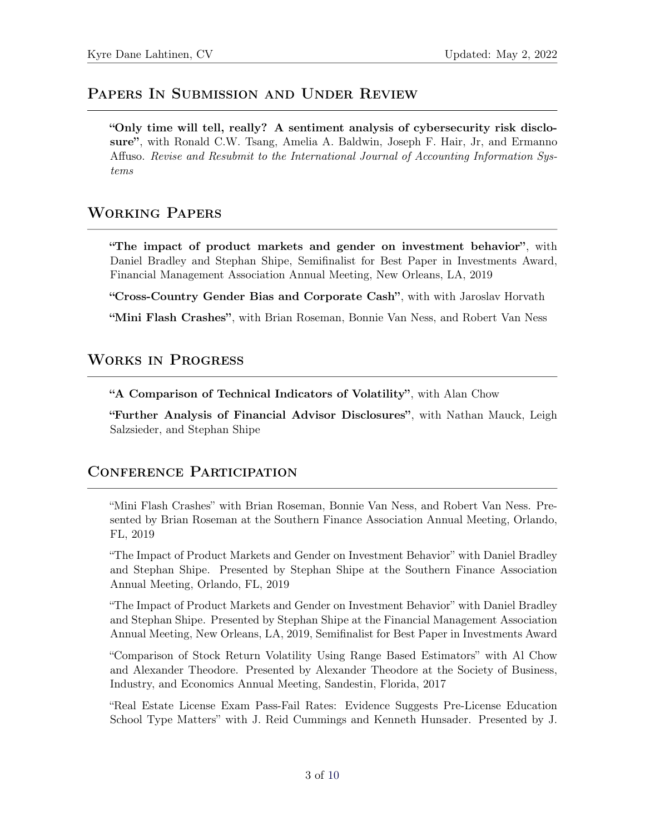## PAPERS IN SUBMISSION AND UNDER REVIEW

"Only time will tell, really? A sentiment analysis of cybersecurity risk disclosure", with Ronald C.W. Tsang, Amelia A. Baldwin, Joseph F. Hair, Jr, and Ermanno Affuso. *Revise and Resubmit to the International Journal of Accounting Information Systems*

## Working Papers

"The impact of product markets and gender on investment behavior", with Daniel Bradley and Stephan Shipe, Semifinalist for Best Paper in Investments Award, Financial Management Association Annual Meeting, New Orleans, LA, 2019

"Cross-Country Gender Bias and Corporate Cash", with with Jaroslav Horvath

"Mini Flash Crashes", with Brian Roseman, Bonnie Van Ness, and Robert Van Ness

# Works in Progress

"A Comparison of Technical Indicators of Volatility", with Alan Chow

"Further Analysis of Financial Advisor Disclosures", with Nathan Mauck, Leigh Salzsieder, and Stephan Shipe

## Conference Participation

"Mini Flash Crashes" with Brian Roseman, Bonnie Van Ness, and Robert Van Ness. Presented by Brian Roseman at the Southern Finance Association Annual Meeting, Orlando, FL, 2019

"The Impact of Product Markets and Gender on Investment Behavior" with Daniel Bradley and Stephan Shipe. Presented by Stephan Shipe at the Southern Finance Association Annual Meeting, Orlando, FL, 2019

"The Impact of Product Markets and Gender on Investment Behavior" with Daniel Bradley and Stephan Shipe. Presented by Stephan Shipe at the Financial Management Association Annual Meeting, New Orleans, LA, 2019, Semifinalist for Best Paper in Investments Award

"Comparison of Stock Return Volatility Using Range Based Estimators" with Al Chow and Alexander Theodore. Presented by Alexander Theodore at the Society of Business, Industry, and Economics Annual Meeting, Sandestin, Florida, 2017

"Real Estate License Exam Pass-Fail Rates: Evidence Suggests Pre-License Education School Type Matters" with J. Reid Cummings and Kenneth Hunsader. Presented by J.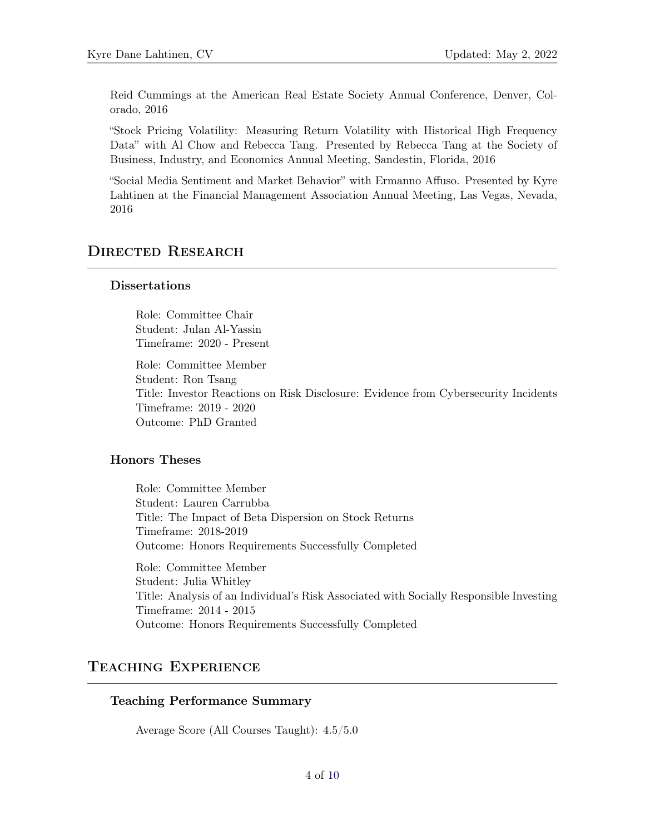Reid Cummings at the American Real Estate Society Annual Conference, Denver, Colorado, 2016

"Stock Pricing Volatility: Measuring Return Volatility with Historical High Frequency Data" with Al Chow and Rebecca Tang. Presented by Rebecca Tang at the Society of Business, Industry, and Economics Annual Meeting, Sandestin, Florida, 2016

"Social Media Sentiment and Market Behavior" with Ermanno Affuso. Presented by Kyre Lahtinen at the Financial Management Association Annual Meeting, Las Vegas, Nevada, 2016

# DIRECTED RESEARCH

#### Dissertations

Role: Committee Chair Student: Julan Al-Yassin Timeframe: 2020 - Present

Role: Committee Member Student: Ron Tsang Title: Investor Reactions on Risk Disclosure: Evidence from Cybersecurity Incidents Timeframe: 2019 - 2020 Outcome: PhD Granted

### Honors Theses

Role: Committee Member Student: Lauren Carrubba Title: The Impact of Beta Dispersion on Stock Returns Timeframe: 2018-2019 Outcome: Honors Requirements Successfully Completed Role: Committee Member Student: Julia Whitley

Title: Analysis of an Individual's Risk Associated with Socially Responsible Investing Timeframe: 2014 - 2015 Outcome: Honors Requirements Successfully Completed

# Teaching Experience

#### Teaching Performance Summary

Average Score (All Courses Taught): 4.5/5.0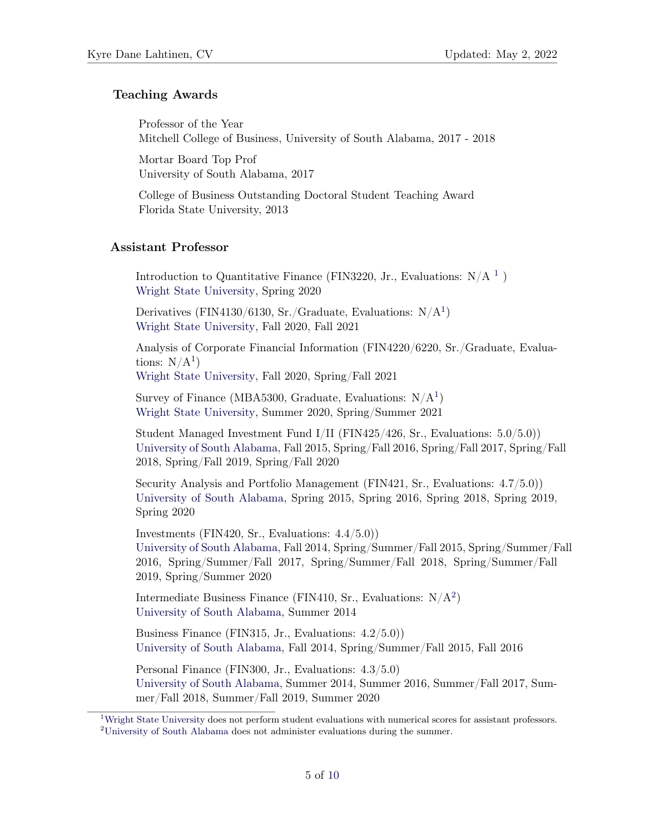### Teaching Awards

Professor of the Year Mitchell College of Business, University of South Alabama, 2017 - 2018

Mortar Board Top Prof University of South Alabama, 2017

College of Business Outstanding Doctoral Student Teaching Award Florida State University, 2013

#### <span id="page-4-0"></span>Assistant Professor

Introduction to Quantitative Finance (FIN3220, Jr., Evaluations:  $N/A^{-1}$ ) Wright State [University](http://www.wright.edu), Spring 2020

Derivatives (FIN4[1](#page-4-0)30/6130, Sr./Graduate, Evaluations:  $N/A<sup>1</sup>$ ) Wright State [University](http://www.wright.edu), Fall 2020, Fall 2021

Analysis of Corporate Financial Information (FIN4220/6220, Sr./Graduate, Evaluations:  $N/A<sup>1</sup>$  $N/A<sup>1</sup>$  $N/A<sup>1</sup>$ )

Wright State [University](http://www.wright.edu), Fall 2020, Spring/Fall 2021

Survey of Finance (MBA5300, Graduate, Evaluations:  $N/A<sup>1</sup>$  $N/A<sup>1</sup>$  $N/A<sup>1</sup>$ ) Wright State [University](http://www.wright.edu), Summer 2020, Spring/Summer 2021

Student Managed Investment Fund I/II (FIN425/426, Sr., Evaluations: 5.0/5.0)) [University](http://www.southalabama.edu) of South Alabama, Fall 2015, Spring/Fall 2016, Spring/Fall 2017, Spring/Fall 2018, Spring/Fall 2019, Spring/Fall 2020

Security Analysis and Portfolio Management (FIN421, Sr., Evaluations: 4.7/5.0)) [University](http://www.southalabama.edu) of South Alabama, Spring 2015, Spring 2016, Spring 2018, Spring 2019, Spring 2020

Investments (FIN420, Sr., Evaluations: 4.4/5.0)) [University](http://www.southalabama.edu) of South Alabama, Fall 2014, Spring/Summer/Fall 2015, Spring/Summer/Fall 2016, Spring/Summer/Fall 2017, Spring/Summer/Fall 2018, Spring/Summer/Fall 2019, Spring/Summer 2020

Intermediate Business Finance (FIN410, Sr., Evaluations:  $N/A<sup>2</sup>$ ) [University](http://www.southalabama.edu) of South Alabama, Summer 2014

Business Finance (FIN315, Jr., Evaluations: 4.2/5.0)) [University](http://www.southalabama.edu) of South Alabama, Fall 2014, Spring/Summer/Fall 2015, Fall 2016

Personal Finance (FIN300, Jr., Evaluations: 4.3/5.0) [University](http://www.southalabama.edu) of South Alabama, Summer 2014, Summer 2016, Summer/Fall 2017, Summer/Fall 2018, Summer/Fall 2019, Summer 2020

<sup>&</sup>lt;sup>1</sup>Wright State [University](http://www.wright.edu) does not perform student evaluations with numerical scores for assistant professors. <sup>2</sup>[University](http://www.southalabama.edu) of South Alabama does not administer evaluations during the summer.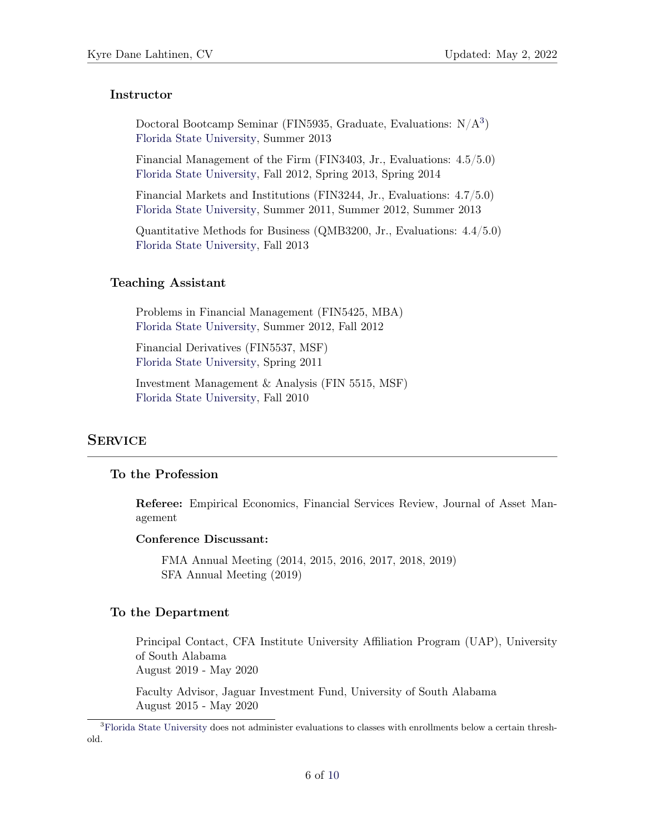#### Instructor

Doctoral Bootcamp Seminar (FIN5935, Graduate, Evaluations:  $N/A<sup>3</sup>$ ) Florida State [University,](http://www.fsu.edu) Summer 2013

Financial Management of the Firm (FIN3403, Jr., Evaluations: 4.5/5.0) Florida State [University,](http://www.fsu.edu) Fall 2012, Spring 2013, Spring 2014

Financial Markets and Institutions (FIN3244, Jr., Evaluations: 4.7/5.0) Florida State [University,](http://www.fsu.edu) Summer 2011, Summer 2012, Summer 2013

Quantitative Methods for Business (QMB3200, Jr., Evaluations: 4.4/5.0) Florida State [University,](http://www.fsu.edu) Fall 2013

#### Teaching Assistant

Problems in Financial Management (FIN5425, MBA) Florida State [University,](http://www.fsu.edu) Summer 2012, Fall 2012

Financial Derivatives (FIN5537, MSF) Florida State [University,](http://www.fsu.edu) Spring 2011

Investment Management & Analysis (FIN 5515, MSF) Florida State [University,](http://www.fsu.edu) Fall 2010

### **SERVICE**

### To the Profession

Referee: Empirical Economics, Financial Services Review, Journal of Asset Management

#### Conference Discussant:

FMA Annual Meeting (2014, 2015, 2016, 2017, 2018, 2019) SFA Annual Meeting (2019)

#### To the Department

Principal Contact, CFA Institute University Affiliation Program (UAP), University of South Alabama August 2019 - May 2020

Faculty Advisor, Jaguar Investment Fund, University of South Alabama August 2015 - May 2020

<sup>3</sup>Florida State [University](http://www.fsu.edu) does not administer evaluations to classes with enrollments below a certain threshold.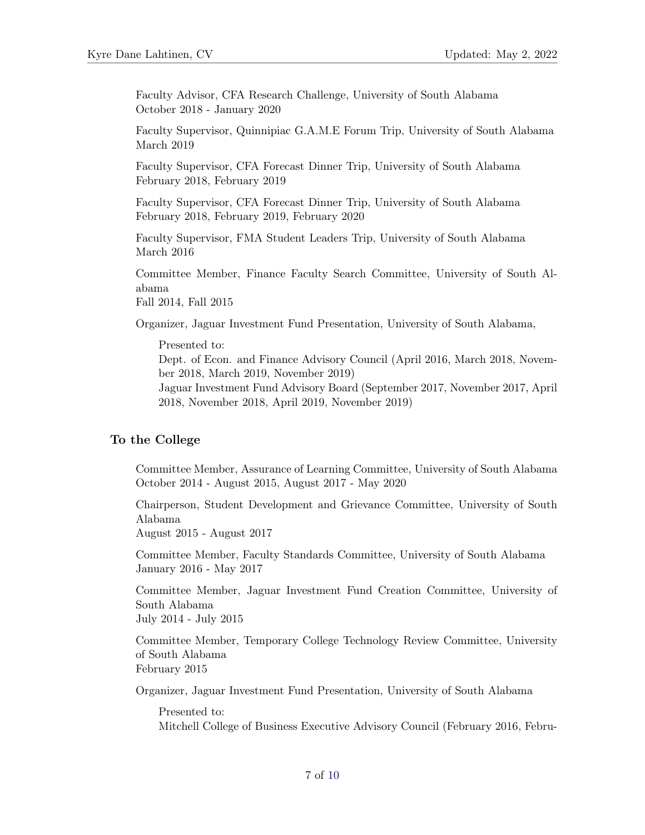Faculty Advisor, CFA Research Challenge, University of South Alabama October 2018 - January 2020

Faculty Supervisor, Quinnipiac G.A.M.E Forum Trip, University of South Alabama March 2019

Faculty Supervisor, CFA Forecast Dinner Trip, University of South Alabama February 2018, February 2019

Faculty Supervisor, CFA Forecast Dinner Trip, University of South Alabama February 2018, February 2019, February 2020

Faculty Supervisor, FMA Student Leaders Trip, University of South Alabama March 2016

Committee Member, Finance Faculty Search Committee, University of South Alabama

Fall 2014, Fall 2015

Organizer, Jaguar Investment Fund Presentation, University of South Alabama,

Presented to: Dept. of Econ. and Finance Advisory Council (April 2016, March 2018, November 2018, March 2019, November 2019) Jaguar Investment Fund Advisory Board (September 2017, November 2017, April 2018, November 2018, April 2019, November 2019)

#### To the College

Committee Member, Assurance of Learning Committee, University of South Alabama October 2014 - August 2015, August 2017 - May 2020

Chairperson, Student Development and Grievance Committee, University of South Alabama

August 2015 - August 2017

Committee Member, Faculty Standards Committee, University of South Alabama January 2016 - May 2017

Committee Member, Jaguar Investment Fund Creation Committee, University of South Alabama

July 2014 - July 2015

Committee Member, Temporary College Technology Review Committee, University of South Alabama February 2015

Organizer, Jaguar Investment Fund Presentation, University of South Alabama

Presented to: Mitchell College of Business Executive Advisory Council (February 2016, Febru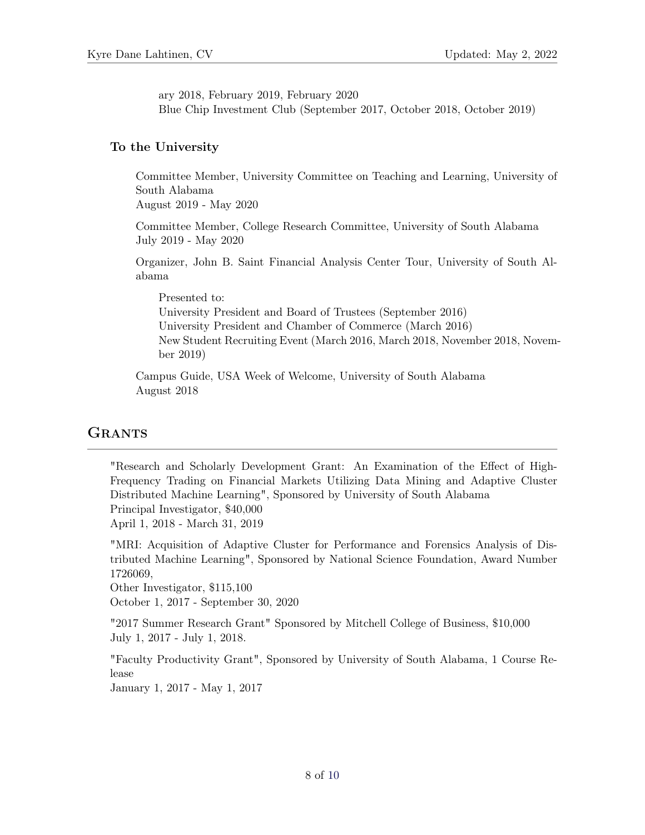ary 2018, February 2019, February 2020 Blue Chip Investment Club (September 2017, October 2018, October 2019)

### To the University

Committee Member, University Committee on Teaching and Learning, University of South Alabama

August 2019 - May 2020

Committee Member, College Research Committee, University of South Alabama July 2019 - May 2020

Organizer, John B. Saint Financial Analysis Center Tour, University of South Alabama

Presented to: University President and Board of Trustees (September 2016) University President and Chamber of Commerce (March 2016) New Student Recruiting Event (March 2016, March 2018, November 2018, November 2019)

Campus Guide, USA Week of Welcome, University of South Alabama August 2018

### **GRANTS**

"Research and Scholarly Development Grant: An Examination of the Effect of High-Frequency Trading on Financial Markets Utilizing Data Mining and Adaptive Cluster Distributed Machine Learning", Sponsored by University of South Alabama Principal Investigator, \$40,000 April 1, 2018 - March 31, 2019

"MRI: Acquisition of Adaptive Cluster for Performance and Forensics Analysis of Distributed Machine Learning", Sponsored by National Science Foundation, Award Number 1726069,

Other Investigator, \$115,100

October 1, 2017 - September 30, 2020

"2017 Summer Research Grant" Sponsored by Mitchell College of Business, \$10,000 July 1, 2017 - July 1, 2018.

"Faculty Productivity Grant", Sponsored by University of South Alabama, 1 Course Release

January 1, 2017 - May 1, 2017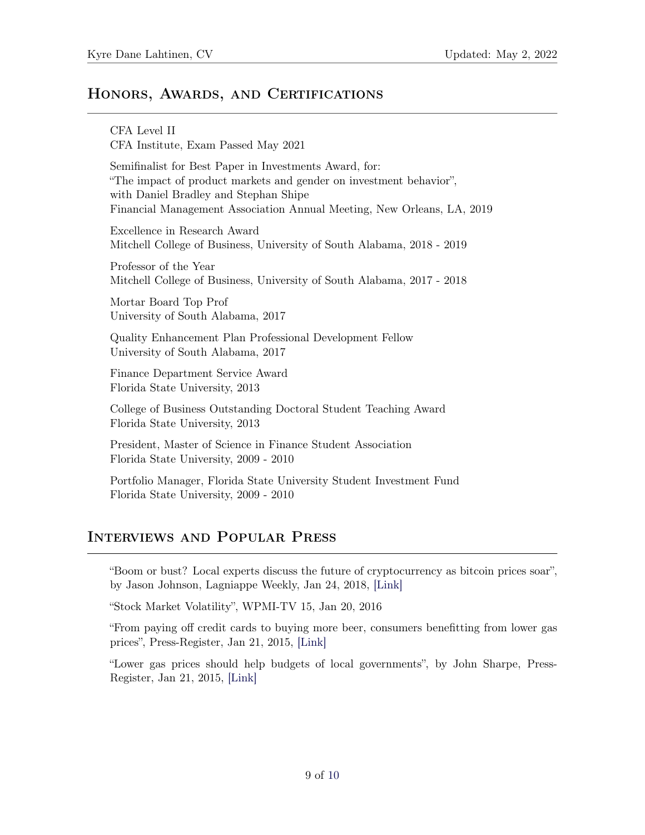### HONORS, AWARDS, AND CERTIFICATIONS

CFA Level II CFA Institute, Exam Passed May 2021 Semifinalist for Best Paper in Investments Award, for: "The impact of product markets and gender on investment behavior", with Daniel Bradley and Stephan Shipe Financial Management Association Annual Meeting, New Orleans, LA, 2019 Excellence in Research Award Mitchell College of Business, University of South Alabama, 2018 - 2019 Professor of the Year Mitchell College of Business, University of South Alabama, 2017 - 2018 Mortar Board Top Prof University of South Alabama, 2017 Quality Enhancement Plan Professional Development Fellow University of South Alabama, 2017 Finance Department Service Award Florida State University, 2013 College of Business Outstanding Doctoral Student Teaching Award Florida State University, 2013 President, Master of Science in Finance Student Association Florida State University, 2009 - 2010 Portfolio Manager, Florida State University Student Investment Fund Florida State University, 2009 - 2010

## Interviews and Popular Press

"Boom or bust? Local experts discuss the future of cryptocurrency as bitcoin prices soar", by Jason Johnson, Lagniappe Weekly, Jan 24, 2018, [\[Link\]](https://lagniappemobile.com/boom-bust-local-experts-discuss-future-cryptocurrency-bitcoin-prices-soar/)

"Stock Market Volatility", WPMI-TV 15, Jan 20, 2016

"From paying off credit cards to buying more beer, consumers benefitting from lower gas prices", Press-Register, Jan 21, 2015, [\[Link\]](http://www.al.com/news/mobile/index.ssf/2015/01/from_paying_off_credit_cards_t.html)

"Lower gas prices should help budgets of local governments", by John Sharpe, Press-Register, Jan 21, 2015, [\[Link\]](http://www.al.com/news/mobile/index.ssf/2015/01/cheaper_fuel_prices_could_mean.html)